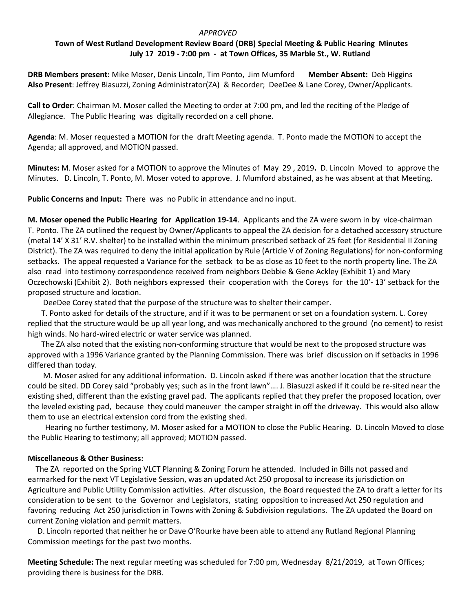#### *APPROVED*

# **Town of West Rutland Development Review Board (DRB) Special Meeting & Public Hearing Minutes July 17 2019 - 7:00 pm - at Town Offices, 35 Marble St., W. Rutland**

**DRB Members present:** Mike Moser, Denis Lincoln, Tim Ponto, Jim Mumford **Member Absent:** Deb Higgins **Also Present**: Jeffrey Biasuzzi, Zoning Administrator(ZA) & Recorder; DeeDee & Lane Corey, Owner/Applicants.

**Call to Order**: Chairman M. Moser called the Meeting to order at 7:00 pm, and led the reciting of the Pledge of Allegiance. The Public Hearing was digitally recorded on a cell phone.

**Agenda**: M. Moser requested a MOTION for the draft Meeting agenda. T. Ponto made the MOTION to accept the Agenda; all approved, and MOTION passed.

**Minutes:** M. Moser asked for a MOTION to approve the Minutes of May 29 , 2019**.** D. Lincoln Moved to approve the Minutes. D. Lincoln, T. Ponto, M. Moser voted to approve. J. Mumford abstained, as he was absent at that Meeting.

**Public Concerns and Input:** There was no Public in attendance and no input.

**M. Moser opened the Public Hearing for Application 19-14**. Applicants and the ZA were sworn in by vice-chairman T. Ponto. The ZA outlined the request by Owner/Applicants to appeal the ZA decision for a detached accessory structure (metal 14' X 31' R.V. shelter) to be installed within the minimum prescribed setback of 25 feet (for Residential II Zoning District). The ZA was required to deny the initial application by Rule (Article V of Zoning Regulations) for non-conforming setbacks. The appeal requested a Variance for the setback to be as close as 10 feet to the north property line. The ZA also read into testimony correspondence received from neighbors Debbie & Gene Ackley (Exhibit 1) and Mary Oczechowski (Exhibit 2). Both neighbors expressed their cooperation with the Coreys for the 10'- 13' setback for the proposed structure and location.

DeeDee Corey stated that the purpose of the structure was to shelter their camper.

 T. Ponto asked for details of the structure, and if it was to be permanent or set on a foundation system. L. Corey replied that the structure would be up all year long, and was mechanically anchored to the ground (no cement) to resist high winds. No hard-wired electric or water service was planned.

 The ZA also noted that the existing non-conforming structure that would be next to the proposed structure was approved with a 1996 Variance granted by the Planning Commission. There was brief discussion on if setbacks in 1996 differed than today.

 M. Moser asked for any additional information. D. Lincoln asked if there was another location that the structure could be sited. DD Corey said "probably yes; such as in the front lawn"…. J. Biasuzzi asked if it could be re-sited near the existing shed, different than the existing gravel pad. The applicants replied that they prefer the proposed location, over the leveled existing pad, because they could maneuver the camper straight in off the driveway. This would also allow them to use an electrical extension cord from the existing shed.

 Hearing no further testimony, M. Moser asked for a MOTION to close the Public Hearing. D. Lincoln Moved to close the Public Hearing to testimony; all approved; MOTION passed.

### **Miscellaneous & Other Business:**

The ZA reported on the Spring VLCT Planning & Zoning Forum he attended. Included in Bills not passed and earmarked for the next VT Legislative Session, was an updated Act 250 proposal to increase its jurisdiction on Agriculture and Public Utility Commission activities. After discussion, the Board requested the ZA to draft a letter for its consideration to be sent to the Governor and Legislators, stating opposition to increased Act 250 regulation and favoring reducing Act 250 jurisdiction in Towns with Zoning & Subdivision regulations. The ZA updated the Board on current Zoning violation and permit matters.

 D. Lincoln reported that neither he or Dave O'Rourke have been able to attend any Rutland Regional Planning Commission meetings for the past two months.

**Meeting Schedule:** The next regular meeting was scheduled for 7:00 pm, Wednesday 8/21/2019, at Town Offices; providing there is business for the DRB.